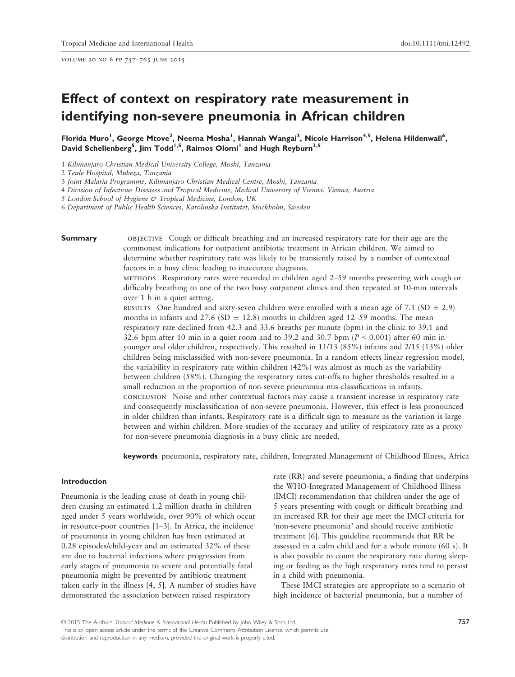volume 20 no 6 pp 757–765 june 2015

# Effect of context on respiratory rate measurement in identifying non-severe pneumonia in African children

Florida Muro<sup>1</sup>, George Mtove<sup>2</sup>, Neema Mosha<sup>1</sup>, Hannah Wangai<sup>3</sup>, Nicole Harrison<sup>4,5</sup>, Helena Hildenwall<sup>6</sup>, David Schellenberg<sup>5</sup>, Jim Todd<sup>1,5</sup>, Raimos Olomi<sup>1</sup> and Hugh Reyburn<sup>3,5</sup>

1 Kilimanjaro Christian Medical University College, Moshi, Tanzania

2 Teule Hospital, Muheza, Tanzania

3 Joint Malaria Programme, Kilimanjaro Christian Medical Centre, Moshi, Tanzania

4 Division of Infectious Diseases and Tropical Medicine, Medical University of Vienna, Vienna, Austria

5 London School of Hygiene & Tropical Medicine, London, UK

6 Department of Public Health Sciences, Karolinska Institutet, Stockholm, Sweden

**Summary** objective Cough or difficult breathing and an increased respiratory rate for their age are the commonest indications for outpatient antibiotic treatment in African children. We aimed to determine whether respiratory rate was likely to be transiently raised by a number of contextual factors in a busy clinic leading to inaccurate diagnosis.

> methods Respiratory rates were recorded in children aged 2–59 months presenting with cough or difficulty breathing to one of the two busy outpatient clinics and then repeated at 10-min intervals over 1 h in a quiet setting.

RESULTS One hundred and sixty-seven children were enrolled with a mean age of 7.1 (SD  $\pm$  2.9) months in infants and 27.6 (SD  $\pm$  12.8) months in children aged 12–59 months. The mean respiratory rate declined from 42.3 and 33.6 breaths per minute (bpm) in the clinic to 39.1 and 32.6 bpm after 10 min in a quiet room and to 39.2 and 30.7 bpm ( $P < 0.001$ ) after 60 min in younger and older children, respectively. This resulted in 11/13 (85%) infants and 2/15 (13%) older children being misclassified with non-severe pneumonia. In a random effects linear regression model, the variability in respiratory rate within children (42%) was almost as much as the variability between children (58%). Changing the respiratory rates cut-offs to higher thresholds resulted in a small reduction in the proportion of non-severe pneumonia mis-classifications in infants. conclusion Noise and other contextual factors may cause a transient increase in respiratory rate and consequently misclassification of non-severe pneumonia. However, this effect is less pronounced in older children than infants. Respiratory rate is a difficult sign to measure as the variation is large between and within children. More studies of the accuracy and utility of respiratory rate as a proxy for non-severe pneumonia diagnosis in a busy clinic are needed.

keywords pneumonia, respiratory rate, children, Integrated Management of Childhood Illness, Africa

# Introduction

Pneumonia is the leading cause of death in young children causing an estimated 1.2 million deaths in children aged under 5 years worldwide, over 90% of which occur in resource-poor countries [1–3]. In Africa, the incidence of pneumonia in young children has been estimated at 0.28 episodes/child-year and an estimated 32% of these are due to bacterial infections where progression from early stages of pneumonia to severe and potentially fatal pneumonia might be prevented by antibiotic treatment taken early in the illness [4, 5]. A number of studies have demonstrated the association between raised respiratory

rate (RR) and severe pneumonia, a finding that underpins the WHO-Integrated Management of Childhood Illness (IMCI) recommendation that children under the age of 5 years presenting with cough or difficult breathing and an increased RR for their age meet the IMCI criteria for 'non-severe pneumonia' and should receive antibiotic treatment [6]. This guideline recommends that RR be assessed in a calm child and for a whole minute (60 s). It is also possible to count the respiratory rate during sleeping or feeding as the high respiratory rates tend to persist in a child with pneumonia.

These IMCI strategies are appropriate to a scenario of high incidence of bacterial pneumonia, but a number of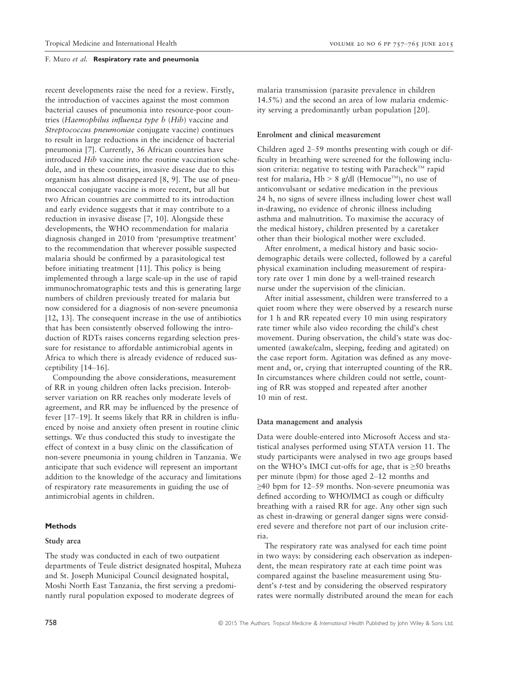recent developments raise the need for a review. Firstly, the introduction of vaccines against the most common bacterial causes of pneumonia into resource-poor countries (Haemophilus influenza type b (Hib) vaccine and Streptococcus pneumoniae conjugate vaccine) continues to result in large reductions in the incidence of bacterial pneumonia [7]. Currently, 36 African countries have introduced Hib vaccine into the routine vaccination schedule, and in these countries, invasive disease due to this organism has almost disappeared [8, 9]. The use of pneumococcal conjugate vaccine is more recent, but all but two African countries are committed to its introduction and early evidence suggests that it may contribute to a reduction in invasive disease [7, 10]. Alongside these developments, the WHO recommendation for malaria diagnosis changed in 2010 from 'presumptive treatment' to the recommendation that wherever possible suspected malaria should be confirmed by a parasitological test before initiating treatment [11]. This policy is being implemented through a large scale-up in the use of rapid immunochromatographic tests and this is generating large numbers of children previously treated for malaria but now considered for a diagnosis of non-severe pneumonia [12, 13]. The consequent increase in the use of antibiotics that has been consistently observed following the introduction of RDTs raises concerns regarding selection pressure for resistance to affordable antimicrobial agents in Africa to which there is already evidence of reduced susceptibility [14–16].

Compounding the above considerations, measurement of RR in young children often lacks precision. Interobserver variation on RR reaches only moderate levels of agreement, and RR may be influenced by the presence of fever [17–19]. It seems likely that RR in children is influenced by noise and anxiety often present in routine clinic settings. We thus conducted this study to investigate the effect of context in a busy clinic on the classification of non-severe pneumonia in young children in Tanzania. We anticipate that such evidence will represent an important addition to the knowledge of the accuracy and limitations of respiratory rate measurements in guiding the use of antimicrobial agents in children.

# Methods

#### Study area

The study was conducted in each of two outpatient departments of Teule district designated hospital, Muheza and St. Joseph Municipal Council designated hospital, Moshi North East Tanzania, the first serving a predominantly rural population exposed to moderate degrees of

malaria transmission (parasite prevalence in children 14.5%) and the second an area of low malaria endemicity serving a predominantly urban population [20].

## Enrolment and clinical measurement

Children aged 2–59 months presenting with cough or difficulty in breathing were screened for the following inclusion criteria: negative to testing with Paracheck<sup>TM</sup> rapid test for malaria, Hb > 8 g/dl (Hemocue<sup>TM</sup>), no use of anticonvulsant or sedative medication in the previous 24 h, no signs of severe illness including lower chest wall in-drawing, no evidence of chronic illness including asthma and malnutrition. To maximise the accuracy of the medical history, children presented by a caretaker other than their biological mother were excluded.

After enrolment, a medical history and basic sociodemographic details were collected, followed by a careful physical examination including measurement of respiratory rate over 1 min done by a well-trained research nurse under the supervision of the clinician.

After initial assessment, children were transferred to a quiet room where they were observed by a research nurse for 1 h and RR repeated every 10 min using respiratory rate timer while also video recording the child's chest movement. During observation, the child's state was documented (awake/calm, sleeping, feeding and agitated) on the case report form. Agitation was defined as any movement and, or, crying that interrupted counting of the RR. In circumstances where children could not settle, counting of RR was stopped and repeated after another 10 min of rest.

#### Data management and analysis

Data were double-entered into Microsoft Access and statistical analyses performed using STATA version 11. The study participants were analysed in two age groups based on the WHO's IMCI cut-offs for age, that is  $\geq 50$  breaths per minute (bpm) for those aged 2–12 months and ≥40 bpm for 12–59 months. Non-severe pneumonia was defined according to WHO/IMCI as cough or difficulty breathing with a raised RR for age. Any other sign such as chest in-drawing or general danger signs were considered severe and therefore not part of our inclusion criteria.

The respiratory rate was analysed for each time point in two ways: by considering each observation as independent, the mean respiratory rate at each time point was compared against the baseline measurement using Student's t-test and by considering the observed respiratory rates were normally distributed around the mean for each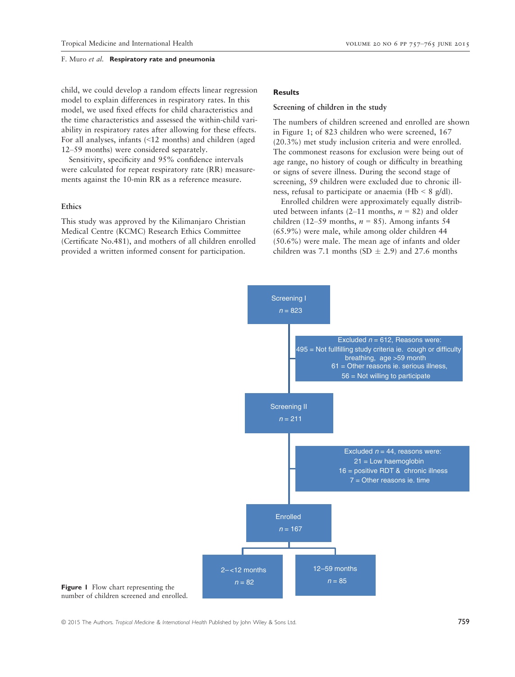child, we could develop a random effects linear regression model to explain differences in respiratory rates. In this model, we used fixed effects for child characteristics and the time characteristics and assessed the within-child variability in respiratory rates after allowing for these effects. For all analyses, infants (<12 months) and children (aged 12–59 months) were considered separately.

Sensitivity, specificity and 95% confidence intervals were calculated for repeat respiratory rate (RR) measurements against the 10-min RR as a reference measure.

# Ethics

This study was approved by the Kilimanjaro Christian Medical Centre (KCMC) Research Ethics Committee (Certificate No.481), and mothers of all children enrolled provided a written informed consent for participation.

# **Results**

# Screening of children in the study

The numbers of children screened and enrolled are shown in Figure 1; of 823 children who were screened, 167 (20.3%) met study inclusion criteria and were enrolled. The commonest reasons for exclusion were being out of age range, no history of cough or difficulty in breathing or signs of severe illness. During the second stage of screening, 59 children were excluded due to chronic illness, refusal to participate or anaemia (Hb < 8 g/dl).

Enrolled children were approximately equally distributed between infants (2–11 months,  $n = 82$ ) and older children (12–59 months,  $n = 85$ ). Among infants 54 (65.9%) were male, while among older children 44 (50.6%) were male. The mean age of infants and older children was 7.1 months (SD  $\pm$  2.9) and 27.6 months



Figure 1 Flow chart representing the number of children screened and enrolled.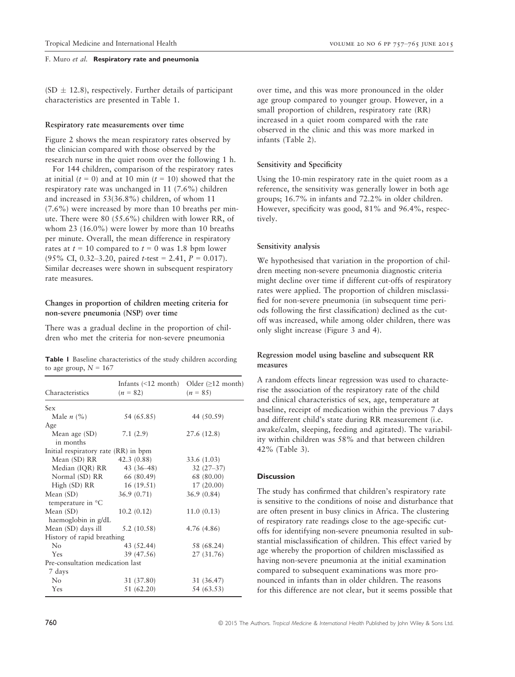$(SD \pm 12.8)$ , respectively. Further details of participant characteristics are presented in Table 1.

#### Respiratory rate measurements over time

Figure 2 shows the mean respiratory rates observed by the clinician compared with those observed by the research nurse in the quiet room over the following 1 h.

For 144 children, comparison of the respiratory rates at initial  $(t = 0)$  and at 10 min  $(t = 10)$  showed that the respiratory rate was unchanged in 11 (7.6%) children and increased in 53(36.8%) children, of whom 11 (7.6%) were increased by more than 10 breaths per minute. There were 80 (55.6%) children with lower RR, of whom 23 (16.0%) were lower by more than 10 breaths per minute. Overall, the mean difference in respiratory rates at  $t = 10$  compared to  $t = 0$  was 1.8 bpm lower (95% CI, 0.32–3.20, paired  $t$ -test = 2.41,  $P = 0.017$ ). Similar decreases were shown in subsequent respiratory rate measures.

# Changes in proportion of children meeting criteria for non-severe pneumonia (NSP) over time

There was a gradual decline in the proportion of children who met the criteria for non-severe pneumonia

|                         |  | <b>Table I</b> Baseline characteristics of the study children according |  |
|-------------------------|--|-------------------------------------------------------------------------|--|
| to age group, $N = 167$ |  |                                                                         |  |

| Characteristics                      | Infants $(\leq 12 \text{ month})$<br>$(n = 82)$ | Older $(\geq 12 \text{ month})$<br>$(n = 85)$ |
|--------------------------------------|-------------------------------------------------|-----------------------------------------------|
| Sex                                  |                                                 |                                               |
| Male $n$ (%)                         | 54 (65.85)                                      | 44 (50.59)                                    |
| Age                                  |                                                 |                                               |
| Mean age (SD)<br>in months           | 7.1(2.9)                                        | 27.6 (12.8)                                   |
| Initial respiratory rate (RR) in bpm |                                                 |                                               |
| Mean (SD) RR 42.3 (0.88)             |                                                 | 33.6 (1.03)                                   |
| Median (IQR) RR                      | $43(36-48)$                                     | $32(27-37)$                                   |
| Normal (SD) RR                       | 66 (80.49)                                      | 68 (80.00)                                    |
| High (SD) RR                         | 16(19.51)                                       | 17(20.00)                                     |
| Mean $(SD)$                          | 36.9(0.71)                                      | 36.9(0.84)                                    |
| temperature in °C                    |                                                 |                                               |
| Mean (SD)                            | 10.2(0.12)                                      | 11.0(0.13)                                    |
| haemoglobin in g/dL                  |                                                 |                                               |
| Mean (SD) days ill                   | 5.2(10.58)                                      | 4.76 (4.86)                                   |
| History of rapid breathing           |                                                 |                                               |
| No                                   | 43 (52.44)                                      | 58 (68.24)                                    |
| Yes                                  | 39 (47.56)                                      | 27 (31.76)                                    |
| Pre-consultation medication last     |                                                 |                                               |
| 7 days                               |                                                 |                                               |
| No                                   | 31 (37.80)                                      | 31 (36.47)                                    |
| Yes                                  | 51 (62.20)                                      | 54 (63.53)                                    |

over time, and this was more pronounced in the older age group compared to younger group. However, in a small proportion of children, respiratory rate (RR) increased in a quiet room compared with the rate observed in the clinic and this was more marked in infants (Table 2).

# Sensitivity and Specificity

Using the 10-min respiratory rate in the quiet room as a reference, the sensitivity was generally lower in both age groups; 16.7% in infants and 72.2% in older children. However, specificity was good, 81% and 96.4%, respectively.

# Sensitivity analysis

We hypothesised that variation in the proportion of children meeting non-severe pneumonia diagnostic criteria might decline over time if different cut-offs of respiratory rates were applied. The proportion of children misclassified for non-severe pneumonia (in subsequent time periods following the first classification) declined as the cutoff was increased, while among older children, there was only slight increase (Figure 3 and 4).

# Regression model using baseline and subsequent RR measures

A random effects linear regression was used to characterise the association of the respiratory rate of the child and clinical characteristics of sex, age, temperature at baseline, receipt of medication within the previous 7 days and different child's state during RR measurement (i.e. awake/calm, sleeping, feeding and agitated). The variability within children was 58% and that between children 42% (Table 3).

# **Discussion**

The study has confirmed that children's respiratory rate is sensitive to the conditions of noise and disturbance that are often present in busy clinics in Africa. The clustering of respiratory rate readings close to the age-specific cutoffs for identifying non-severe pneumonia resulted in substantial misclassification of children. This effect varied by age whereby the proportion of children misclassified as having non-severe pneumonia at the initial examination compared to subsequent examinations was more pronounced in infants than in older children. The reasons for this difference are not clear, but it seems possible that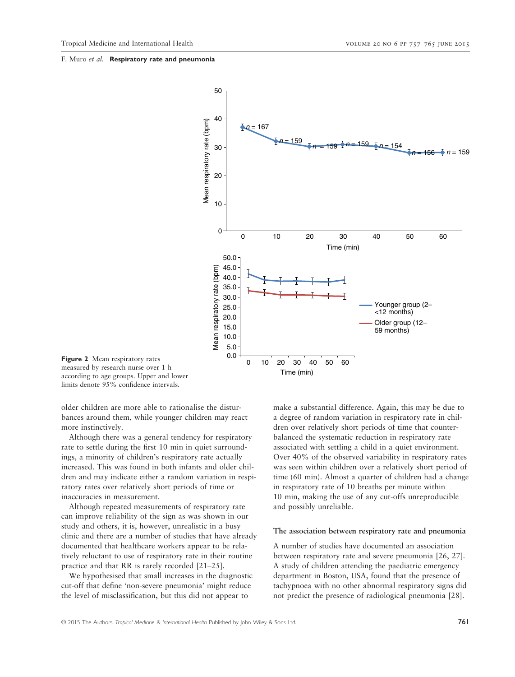

Figure 2 Mean respiratory rates measured by research nurse over 1 h according to age groups. Upper and lower limits denote 95% confidence intervals.

older children are more able to rationalise the disturbances around them, while younger children may react more instinctively.

Although there was a general tendency for respiratory rate to settle during the first 10 min in quiet surroundings, a minority of children's respiratory rate actually increased. This was found in both infants and older children and may indicate either a random variation in respiratory rates over relatively short periods of time or inaccuracies in measurement.

Although repeated measurements of respiratory rate can improve reliability of the sign as was shown in our study and others, it is, however, unrealistic in a busy clinic and there are a number of studies that have already documented that healthcare workers appear to be relatively reluctant to use of respiratory rate in their routine practice and that RR is rarely recorded [21–25].

We hypothesised that small increases in the diagnostic cut-off that define 'non-severe pneumonia' might reduce the level of misclassification, but this did not appear to

make a substantial difference. Again, this may be due to a degree of random variation in respiratory rate in children over relatively short periods of time that counterbalanced the systematic reduction in respiratory rate associated with settling a child in a quiet environment. Over 40% of the observed variability in respiratory rates was seen within children over a relatively short period of time (60 min). Almost a quarter of children had a change in respiratory rate of 10 breaths per minute within 10 min, making the use of any cut-offs unreproducible and possibly unreliable.

#### The association between respiratory rate and pneumonia

A number of studies have documented an association between respiratory rate and severe pneumonia [26, 27]. A study of children attending the paediatric emergency department in Boston, USA, found that the presence of tachypnoea with no other abnormal respiratory signs did not predict the presence of radiological pneumonia [28].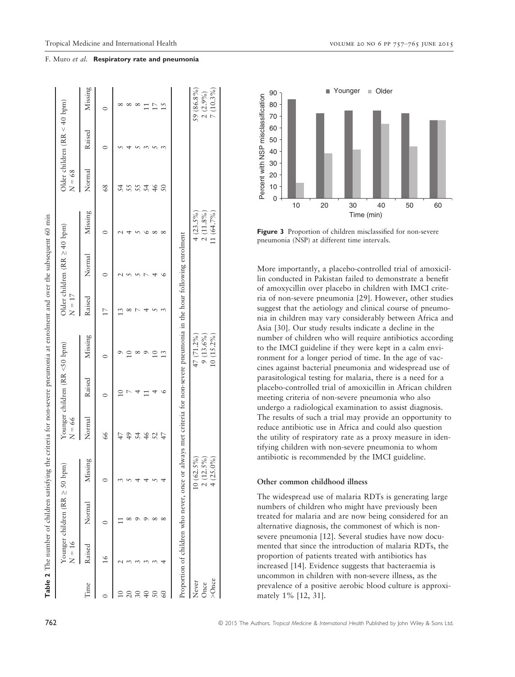|             |               | Table 2 The number of children satisfying the criteria for non-severe pneumonia at enrolment and over the subsequent 60 min |              |          |                               |               |                 |                                   |              |                 |                                |             |
|-------------|---------------|-----------------------------------------------------------------------------------------------------------------------------|--------------|----------|-------------------------------|---------------|-----------------|-----------------------------------|--------------|-----------------|--------------------------------|-------------|
|             | $N = 16$      | Younger children (RR $\geq$ 50 bpm                                                                                          |              | $N = 66$ | Younger children (RR <50 bpm) |               | $N = 17$        | Older children (RR $\geq$ 40 bpm) |              | $N = 68$        | Older children $(RR < 40$ bpm) |             |
| Time        | Raised        | Normal                                                                                                                      | Missing      | Normal   | Raised                        | Missing       | Raised          | Normal                            | Missing      | Normal          | Raised                         | Missing     |
|             | $\frac{6}{1}$ |                                                                                                                             |              | 66       |                               |               | $\overline{17}$ |                                   |              | $\frac{8}{6}$   | $\circ$                        |             |
|             |               |                                                                                                                             |              |          |                               |               |                 |                                   |              | 54              |                                |             |
|             |               |                                                                                                                             |              | 49       |                               |               |                 |                                   |              | 55              |                                |             |
| 30          |               |                                                                                                                             |              | 54       |                               | $\infty$      |                 |                                   |              | 55              |                                | $^{\circ}$  |
| $\sqrt{40}$ |               |                                                                                                                             |              | 46       |                               | $\circ$       |                 |                                   |              | 54              |                                | $\Box$      |
| 50          |               |                                                                                                                             |              | 52       |                               | $\frac{0}{1}$ |                 |                                   | $^{\circ}$   | 46              |                                | 17          |
| 60          |               |                                                                                                                             |              | 47       |                               | 13            |                 |                                   | $\infty$     | $\overline{50}$ |                                | 15          |
|             |               | Proportion of children who never, once or always met criteria for non-severe pneumonia in the hour following enrolment      |              |          |                               |               |                 |                                   |              |                 |                                |             |
| Never       |               |                                                                                                                             | $10(62.5\%)$ |          |                               | 47 (71.2%)    |                 |                                   | $4(23.5\%)$  |                 |                                | 59 (86.8%)  |
| Once        |               |                                                                                                                             | $2(12.5\%)$  |          |                               | $9(13.6\%)$   |                 |                                   | $2(11.8\%)$  |                 |                                | 2(2.9%)     |
| $>Q$ nce    |               |                                                                                                                             | $4(25.0\%)$  |          |                               | $10(15.2\%)$  |                 |                                   | $11(64.7\%)$ |                 |                                | $7(10.3\%)$ |



Figure 3 Proportion of children misclassified for non-severe pneumonia (NSP) at different time intervals.

More importantly, a placebo-controlled trial of amoxicillin conducted in Pakistan failed to demonstrate a benefit of amoxycillin over placebo in children with IMCI criteria of non-severe pneumonia [29]. However, other studies suggest that the aetiology and clinical course of pneumonia in children may vary considerably between Africa and Asia [30]. Our study results indicate a decline in the number of children who will require antibiotics according to the IMCI guideline if they were kept in a calm environment for a longer period of time. In the age of vaccines against bacterial pneumonia and widespread use of parasitological testing for malaria, there is a need for a placebo-controlled trial of amoxicillin in African children meeting criteria of non-severe pneumonia who also undergo a radiological examination to assist diagnosis. The results of such a trial may provide an opportunity to reduce antibiotic use in Africa and could also question the utility of respiratory rate as a proxy measure in identifying children with non-severe pneumonia to whom antibiotic is recommended by the IMCI guideline.

# Other common childhood illness

The widespread use of malaria RDTs is generating large numbers of children who might have previously been treated for malaria and are now being considered for an alternative diagnosis, the commonest of which is nonsevere pneumonia [12]. Several studies have now documented that since the introduction of malaria RDTs, the proportion of patients treated with antibiotics has increased [14]. Evidence suggests that bacteraemia is uncommon in children with non-severe illness, as the prevalence of a positive aerobic blood culture is approximately 1% [12, 31].

#### F. Muro et al. Respiratory rate and pneumonia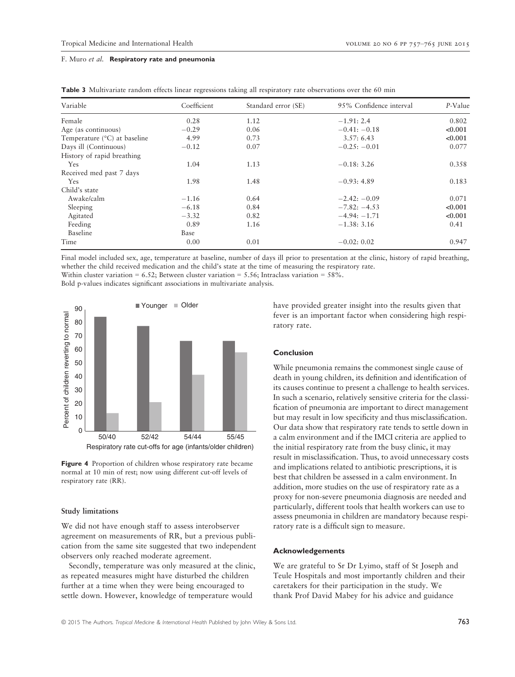| Variable                              | Coefficient | Standard error (SE) | 95% Confidence interval | P-Value |
|---------------------------------------|-------------|---------------------|-------------------------|---------|
| Female                                | 0.28        | 1.12                | $-1.91:2.4$             | 0.802   |
| Age (as continuous)                   | $-0.29$     | 0.06                | $-0.41: -0.18$          | < 0.001 |
| Temperature $(^{\circ}C)$ at baseline | 4.99        | 0.73                | 3.57:6.43               | < 0.001 |
| Days ill (Continuous)                 | $-0.12$     | 0.07                | $-0.25: -0.01$          | 0.077   |
| History of rapid breathing            |             |                     |                         |         |
| Yes                                   | 1.04        | 1.13                | $-0.18: 3.26$           | 0.358   |
| Received med past 7 days              |             |                     |                         |         |
| <b>Yes</b>                            | 1.98        | 1.48                | $-0.93:4.89$            | 0.183   |
| Child's state                         |             |                     |                         |         |
| Awake/calm                            | $-1.16$     | 0.64                | $-2.42: -0.09$          | 0.071   |
| Sleeping                              | $-6.18$     | 0.84                | $-7.82: -4.53$          | < 0.001 |
| Agitated                              | $-3.32$     | 0.82                | $-4.94: -1.71$          | < 0.001 |
| Feeding                               | 0.89        | 1.16                | $-1.38: 3.16$           | 0.41    |
| Baseline                              | Base        |                     |                         |         |
| Time                                  | 0.00        | 0.01                | $-0.02:0.02$            | 0.947   |

Final model included sex, age, temperature at baseline, number of days ill prior to presentation at the clinic, history of rapid breathing, whether the child received medication and the child's state at the time of measuring the respiratory rate.

Within cluster variation =  $6.52$ ; Between cluster variation =  $5.56$ ; Intraclass variation =  $58\%$ .

Bold p-values indicates significant associations in multivariate analysis.



Figure 4 Proportion of children whose respiratory rate became normal at 10 min of rest; now using different cut-off levels of respiratory rate (RR).

# Study limitations

We did not have enough staff to assess interobserver agreement on measurements of RR, but a previous publication from the same site suggested that two independent observers only reached moderate agreement.

Secondly, temperature was only measured at the clinic, as repeated measures might have disturbed the children further at a time when they were being encouraged to settle down. However, knowledge of temperature would

have provided greater insight into the results given that fever is an important factor when considering high respiratory rate.

# Conclusion

While pneumonia remains the commonest single cause of death in young children, its definition and identification of its causes continue to present a challenge to health services. In such a scenario, relatively sensitive criteria for the classification of pneumonia are important to direct management but may result in low specificity and thus misclassification. Our data show that respiratory rate tends to settle down in a calm environment and if the IMCI criteria are applied to the initial respiratory rate from the busy clinic, it may result in misclassification. Thus, to avoid unnecessary costs and implications related to antibiotic prescriptions, it is best that children be assessed in a calm environment. In addition, more studies on the use of respiratory rate as a proxy for non-severe pneumonia diagnosis are needed and particularly, different tools that health workers can use to assess pneumonia in children are mandatory because respiratory rate is a difficult sign to measure.

# Acknowledgements

We are grateful to Sr Dr Lyimo, staff of St Joseph and Teule Hospitals and most importantly children and their caretakers for their participation in the study. We thank Prof David Mabey for his advice and guidance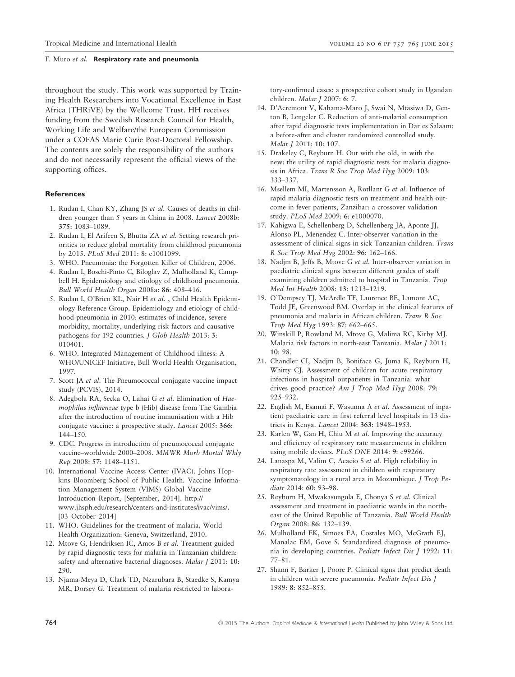throughout the study. This work was supported by Training Health Researchers into Vocational Excellence in East Africa (THRiVE) by the Wellcome Trust. HH receives funding from the Swedish Research Council for Health, Working Life and Welfare/the European Commission under a COFAS Marie Curie Post-Doctoral Fellowship. The contents are solely the responsibility of the authors and do not necessarily represent the official views of the supporting offices.

#### **References**

- 1. Rudan I, Chan KY, Zhang JS et al. Causes of deaths in children younger than 5 years in China in 2008. Lancet 2008b: 375: 1083–1089.
- 2. Rudan I, El Arifeen S, Bhutta ZA et al. Setting research priorities to reduce global mortality from childhood pneumonia by 2015. PLoS Med 2011: 8: e1001099.
- 3. WHO. Pneumonia: the Forgotten Killer of Children, 2006.
- 4. Rudan I, Boschi-Pinto C, Biloglav Z, Mulholland K, Campbell H. Epidemiology and etiology of childhood pneumonia. Bull World Health Organ 2008a: 86: 408–416.
- 5. Rudan I, O'Brien KL, Nair H et al. , Child Health Epidemiology Reference Group. Epidemiology and etiology of childhood pneumonia in 2010: estimates of incidence, severe morbidity, mortality, underlying risk factors and causative pathogens for 192 countries. *J Glob Health* 2013: 3: 010401.
- 6. WHO. Integrated Management of Childhood illness: A WHO/UNICEF Initiative, Bull World Health Organisation, 1997.
- 7. Scott JA et al. The Pneumococcal conjugate vaccine impact study (PCVIS), 2014.
- 8. Adegbola RA, Secka O, Lahai G et al. Elimination of Haemophilus influenzae type b (Hib) disease from The Gambia after the introduction of routine immunisation with a Hib conjugate vaccine: a prospective study. Lancet 2005: 366: 144–150.
- 9. CDC. Progress in introduction of pneumococcal conjugate vaccine–worldwide 2000–2008. MMWR Morb Mortal Wkly Rep 2008: 57: 1148–1151.
- 10. International Vaccine Access Center (IVAC). Johns Hopkins Bloomberg School of Public Health. Vaccine Information Management System (VIMS) Global Vaccine Introduction Report, [September, 2014]. [http://](http://www.jhsph.edu/research/centers-and-institutes/ivac/vims/) [www.jhsph.edu/research/centers-and-institutes/ivac/vims/](http://www.jhsph.edu/research/centers-and-institutes/ivac/vims/). [03 October 2014]
- 11. WHO. Guidelines for the treatment of malaria, World Health Organization: Geneva, Switzerland, 2010.
- 12. Mtove G, Hendriksen IC, Amos B et al. Treatment guided by rapid diagnostic tests for malaria in Tanzanian children: safety and alternative bacterial diagnoses. Malar J 2011: 10: 290.
- 13. Njama-Meya D, Clark TD, Nzarubara B, Staedke S, Kamya MR, Dorsey G. Treatment of malaria restricted to labora-

tory-confirmed cases: a prospective cohort study in Ugandan children. Malar J 2007: 6: 7.

- 14. D'Acremont V, Kahama-Maro J, Swai N, Mtasiwa D, Genton B, Lengeler C. Reduction of anti-malarial consumption after rapid diagnostic tests implementation in Dar es Salaam: a before-after and cluster randomized controlled study. Malar J 2011: 10: 107.
- 15. Drakeley C, Reyburn H. Out with the old, in with the new: the utility of rapid diagnostic tests for malaria diagnosis in Africa. Trans R Soc Trop Med Hyg 2009: 103: 333–337.
- 16. Msellem MI, Martensson A, Rotllant G et al. Influence of rapid malaria diagnostic tests on treatment and health outcome in fever patients, Zanzibar: a crossover validation study. PLoS Med 2009: 6: e1000070.
- 17. Kahigwa E, Schellenberg D, Schellenberg JA, Aponte JJ, Alonso PL, Menendez C. Inter-observer variation in the assessment of clinical signs in sick Tanzanian children. Trans R Soc Trop Med Hyg 2002: 96: 162–166.
- 18. Nadjm B, Jeffs B, Mtove G et al. Inter-observer variation in paediatric clinical signs between different grades of staff examining children admitted to hospital in Tanzania. Trop Med Int Health 2008: 13: 1213–1219.
- 19. O'Dempsey TJ, McArdle TF, Laurence BE, Lamont AC, Todd JE, Greenwood BM. Overlap in the clinical features of pneumonia and malaria in African children. Trans R Soc Trop Med Hyg 1993: 87: 662–665.
- 20. Winskill P, Rowland M, Mtove G, Malima RC, Kirby MJ. Malaria risk factors in north-east Tanzania. Malar J 2011: 10: 98.
- 21. Chandler CI, Nadjm B, Boniface G, Juma K, Reyburn H, Whitty CJ. Assessment of children for acute respiratory infections in hospital outpatients in Tanzania: what drives good practice? Am J Trop Med Hyg 2008: 79: 925–932.
- 22. English M, Esamai F, Wasunna A et al. Assessment of inpatient paediatric care in first referral level hospitals in 13 districts in Kenya. Lancet 2004: 363: 1948–1953.
- 23. Karlen W, Gan H, Chiu M et al. Improving the accuracy and efficiency of respiratory rate measurements in children using mobile devices. PLoS ONE 2014: 9: e99266.
- 24. Lanaspa M, Valim C, Acacio S et al. High reliability in respiratory rate assessment in children with respiratory symptomatology in a rural area in Mozambique. J Trop Pediatr 2014: 60: 93-98.
- 25. Reyburn H, Mwakasungula E, Chonya S et al. Clinical assessment and treatment in paediatric wards in the northeast of the United Republic of Tanzania. Bull World Health Organ 2008: 86: 132–139.
- 26. Mulholland EK, Simoes EA, Costales MO, McGrath EJ, Manalac EM, Gove S. Standardized diagnosis of pneumonia in developing countries. Pediatr Infect Dis J 1992: 11: 77–81.
- 27. Shann F, Barker J, Poore P. Clinical signs that predict death in children with severe pneumonia. Pediatr Infect Dis J 1989: 8: 852–855.